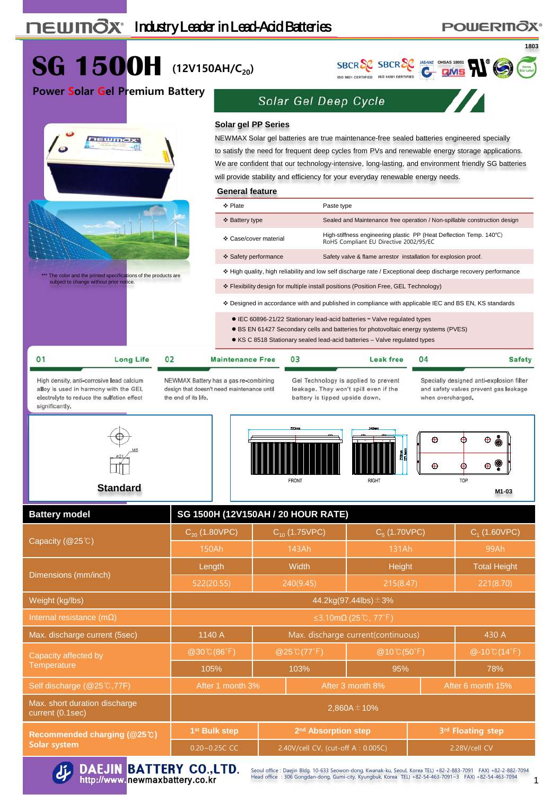# **POWERINOX<sup>®</sup>**



**Solar system**



DAEJIN BATTERY CO., LTD.<br>http://www.newmaxbattery.co.kr

Seoul office : Daejin Bldg. 10-633 Seowon-dong, Kwanak-ku, Seoul, Korea TEL) +82-2-883-7091 FAX) +82-2-882-7094<br>Head office : 306 Gongdan-dong, Gumi-city, Kyungbuk, Korea TEL) +82-54-463-7091~3 FAX) +82-54-463-7094

0.20~0.25C CC 2.40V/cell CV, (cut-off A : 0.005C) 2.28V/cell CV